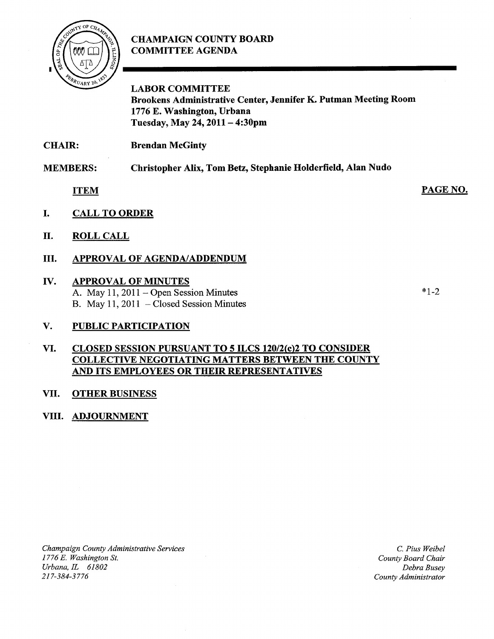# CHAMPAIGN COUNTY BOARD COMMITTEE AGENDA



LABOR COMMITTEE Brookens Administrative Center, Jennifer K. Putman Meeting Room 1776 E. Washington, Urbana Tuesday, May 24, <sup>2011</sup> — 4:30pm

CHAIR: Brendan McGinty

MEMBERS: Christopher Alix, Tom Betz, Stephanie Holderfield, Alan Nudo

ITEM

- I. CALL TO ORDER
- II. ROLL CALL
- III. APPROVAL OF AGENDA/ADDENDUM

## IV. APPROVAL OF MINUTES

A. May 11, 2011 — Open Session Minutes B. May 11, 2011 — Closed Session Minutes

# V. PUBLIC PARTICIPATION

## VI. CLOSED SESSION PURSUANT TO 5 ILCS 120/2(c)2 TO CONSIDER COLLECTIVE NEGOTIATING MATTERS BETWEEN THE COUNTY AND ITS EMPLOYEES OR THEIR REPRESENTATIVES

#### VII. OTHER BUSINESS

# VIII. ADJOURNMENT

Champaign County Administrative Services 1776 E. Washington St. Urbana, IL 61802 21 7-384-3776

C. Pius Weibel County Board Chair Debra Busey county Administrator

 $*1.7$ 

PAGE NO.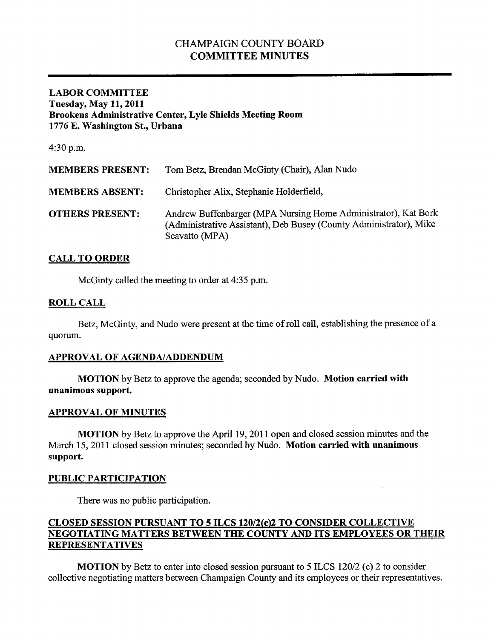# CHAMPAIGN COUNTY BOARD COMMITTEE MINUTES

## LABOR COMMITTEE Tuesday, May 11, 2011 Brookens Administrative Center, Lyle Shields Meeting Room 1776 E. Washington St., Urbana

4:30 p.m.

| <b>MEMBERS PRESENT:</b> | Tom Betz, Brendan McGinty (Chair), Alan Nudo                                                                                                           |
|-------------------------|--------------------------------------------------------------------------------------------------------------------------------------------------------|
| <b>MEMBERS ABSENT:</b>  | Christopher Alix, Stephanie Holderfield,                                                                                                               |
| <b>OTHERS PRESENT:</b>  | Andrew Buffenbarger (MPA Nursing Home Administrator), Kat Bork<br>(Administrative Assistant), Deb Busey (County Administrator), Mike<br>Scavatto (MPA) |

## CALL TO ORDER

McGinty called the meeting to order at 4:35 p.m.

## ROLL CALL

Betz, McGinty, and Nudo were present at the time of roll call, establishing the presence of a quorum.

#### APPROVAL OF AGENDA/ADDENDUM

MOTION by Betz to approve the agenda; seconded by Nudo. Motion carried with unanimous support.

#### APPROVAL OF MINUTES

MOTION by Betz to approve the April 19, 2011 open and closed session minutes and the March 15, 2011 closed session minutes; seconded by Nudo. Motion carried with unanimous support.

#### PUBLIC PARTICIPATION

There was no public participation.

# CLOSED SESSION PURSUANT TO 5 ILCS 120/2(c)2 TO CONSIDER COLLECTIVE NEGOTIATING MATTERS BETWEEN THE COUNTY AND ITS EMPLOYEES OR THEIR REPRESENTATIVES

MOTION by Betz to enter into closed session pursuant to <sup>5</sup> ILCS 120/2 (c) <sup>2</sup> to consider collective negotiating matters between Champaign County and its employees or their representatives.